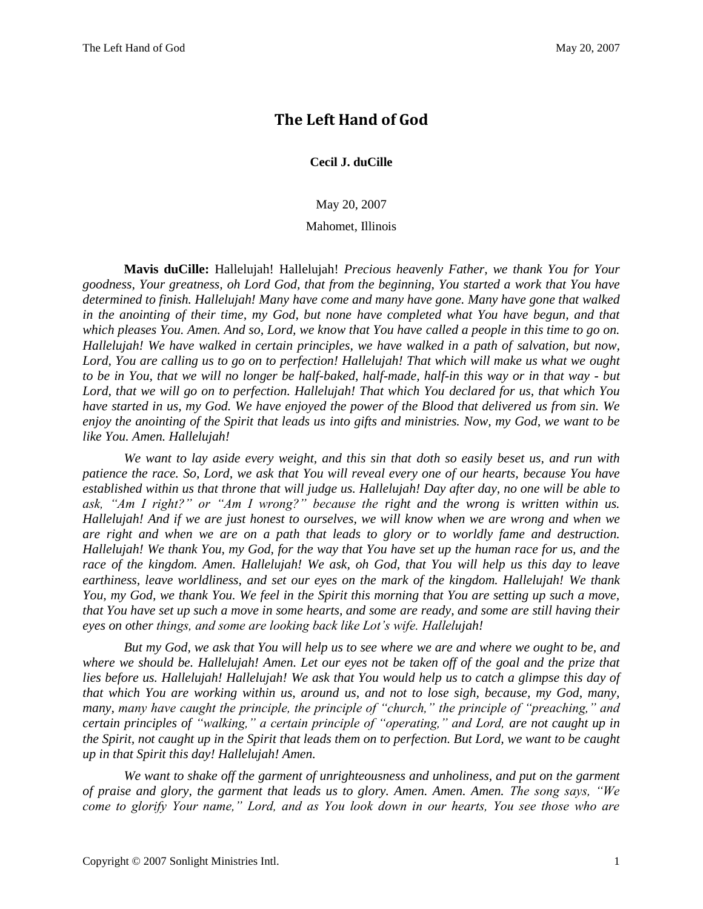## **The Left Hand of God**

**Cecil J. duCille**

May 20, 2007

Mahomet, Illinois

**Mavis duCille:** Hallelujah! Hallelujah! *Precious heavenly Father, we thank You for Your goodness, Your greatness, oh Lord God, that from the beginning, You started a work that You have determined to finish. Hallelujah! Many have come and many have gone. Many have gone that walked in the anointing of their time, my God, but none have completed what You have begun, and that which pleases You. Amen. And so, Lord, we know that You have called a people in this time to go on. Hallelujah! We have walked in certain principles, we have walked in a path of salvation, but now, Lord, You are calling us to go on to perfection! Hallelujah! That which will make us what we ought to be in You, that we will no longer be half-baked, half-made, half-in this way or in that way - but Lord, that we will go on to perfection. Hallelujah! That which You declared for us, that which You have started in us, my God. We have enjoyed the power of the Blood that delivered us from sin. We enjoy the anointing of the Spirit that leads us into gifts and ministries. Now, my God, we want to be like You. Amen. Hallelujah!*

*We want to lay aside every weight, and this sin that doth so easily beset us, and run with patience the race. So, Lord, we ask that You will reveal every one of our hearts, because You have established within us that throne that will judge us. Hallelujah! Day after day, no one will be able to ask, "Am I right?" or "Am I wrong?" because the right and the wrong is written within us. Hallelujah! And if we are just honest to ourselves, we will know when we are wrong and when we are right and when we are on a path that leads to glory or to worldly fame and destruction. Hallelujah! We thank You, my God, for the way that You have set up the human race for us, and the race of the kingdom. Amen. Hallelujah! We ask, oh God, that You will help us this day to leave earthiness, leave worldliness, and set our eyes on the mark of the kingdom. Hallelujah! We thank You, my God, we thank You. We feel in the Spirit this morning that You are setting up such a move, that You have set up such a move in some hearts, and some are ready, and some are still having their eyes on other things, and some are looking back like Lot's wife. Hallelujah!*

*But my God, we ask that You will help us to see where we are and where we ought to be, and where we should be. Hallelujah! Amen. Let our eyes not be taken off of the goal and the prize that lies before us. Hallelujah! Hallelujah! We ask that You would help us to catch a glimpse this day of that which You are working within us, around us, and not to lose sigh, because, my God, many, many, many have caught the principle, the principle of "church," the principle of "preaching," and certain principles of "walking," a certain principle of "operating," and Lord, are not caught up in the Spirit, not caught up in the Spirit that leads them on to perfection. But Lord, we want to be caught up in that Spirit this day! Hallelujah! Amen.*

*We want to shake off the garment of unrighteousness and unholiness, and put on the garment of praise and glory, the garment that leads us to glory. Amen. Amen. Amen. The song says, "We come to glorify Your name," Lord, and as You look down in our hearts, You see those who are*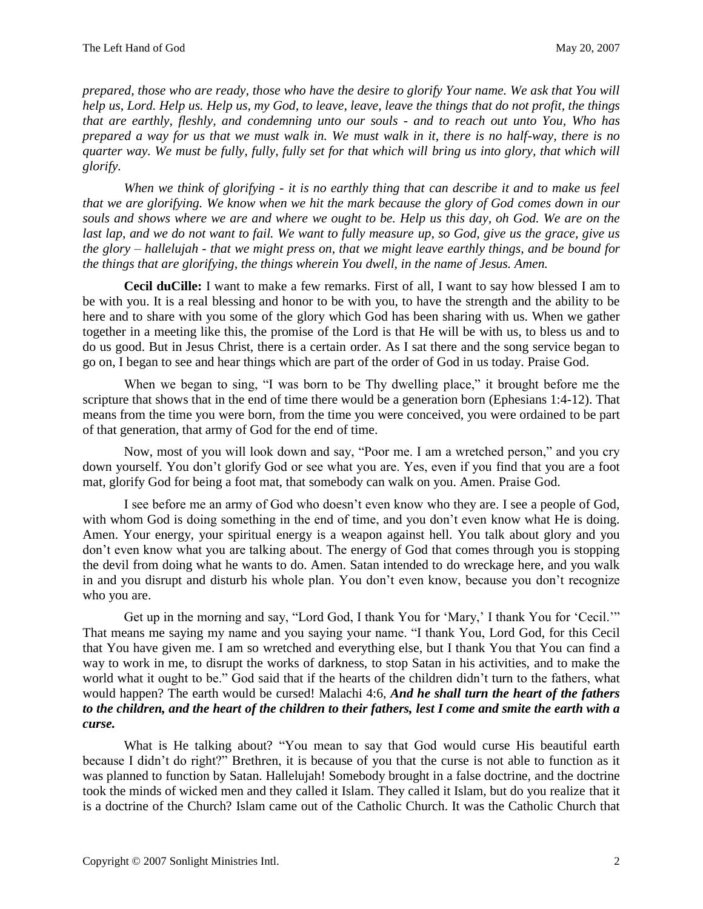*prepared, those who are ready, those who have the desire to glorify Your name. We ask that You will help us, Lord. Help us. Help us, my God, to leave, leave, leave the things that do not profit, the things that are earthly, fleshly, and condemning unto our souls - and to reach out unto You, Who has prepared a way for us that we must walk in. We must walk in it, there is no half-way, there is no quarter way. We must be fully, fully, fully set for that which will bring us into glory, that which will glorify.*

*When we think of glorifying - it is no earthly thing that can describe it and to make us feel that we are glorifying. We know when we hit the mark because the glory of God comes down in our souls and shows where we are and where we ought to be. Help us this day, oh God. We are on the last lap, and we do not want to fail. We want to fully measure up, so God, give us the grace, give us the glory – hallelujah - that we might press on, that we might leave earthly things, and be bound for the things that are glorifying, the things wherein You dwell, in the name of Jesus. Amen.*

**Cecil duCille:** I want to make a few remarks. First of all, I want to say how blessed I am to be with you. It is a real blessing and honor to be with you, to have the strength and the ability to be here and to share with you some of the glory which God has been sharing with us. When we gather together in a meeting like this, the promise of the Lord is that He will be with us, to bless us and to do us good. But in Jesus Christ, there is a certain order. As I sat there and the song service began to go on, I began to see and hear things which are part of the order of God in us today. Praise God.

When we began to sing, "I was born to be Thy dwelling place," it brought before me the scripture that shows that in the end of time there would be a generation born (Ephesians 1:4-12). That means from the time you were born, from the time you were conceived, you were ordained to be part of that generation, that army of God for the end of time.

Now, most of you will look down and say, "Poor me. I am a wretched person," and you cry down yourself. You don't glorify God or see what you are. Yes, even if you find that you are a foot mat, glorify God for being a foot mat, that somebody can walk on you. Amen. Praise God.

I see before me an army of God who doesn't even know who they are. I see a people of God, with whom God is doing something in the end of time, and you don't even know what He is doing. Amen. Your energy, your spiritual energy is a weapon against hell. You talk about glory and you don't even know what you are talking about. The energy of God that comes through you is stopping the devil from doing what he wants to do. Amen. Satan intended to do wreckage here, and you walk in and you disrupt and disturb his whole plan. You don't even know, because you don't recognize who you are.

Get up in the morning and say, "Lord God, I thank You for 'Mary,' I thank You for 'Cecil.'" That means me saying my name and you saying your name. "I thank You, Lord God, for this Cecil that You have given me. I am so wretched and everything else, but I thank You that You can find a way to work in me, to disrupt the works of darkness, to stop Satan in his activities, and to make the world what it ought to be." God said that if the hearts of the children didn't turn to the fathers, what would happen? The earth would be cursed! Malachi 4:6, *And he shall turn the heart of the fathers to the children, and the heart of the children to their fathers, lest I come and smite the earth with a curse.*

What is He talking about? "You mean to say that God would curse His beautiful earth because I didn't do right?" Brethren, it is because of you that the curse is not able to function as it was planned to function by Satan. Hallelujah! Somebody brought in a false doctrine, and the doctrine took the minds of wicked men and they called it Islam. They called it Islam, but do you realize that it is a doctrine of the Church? Islam came out of the Catholic Church. It was the Catholic Church that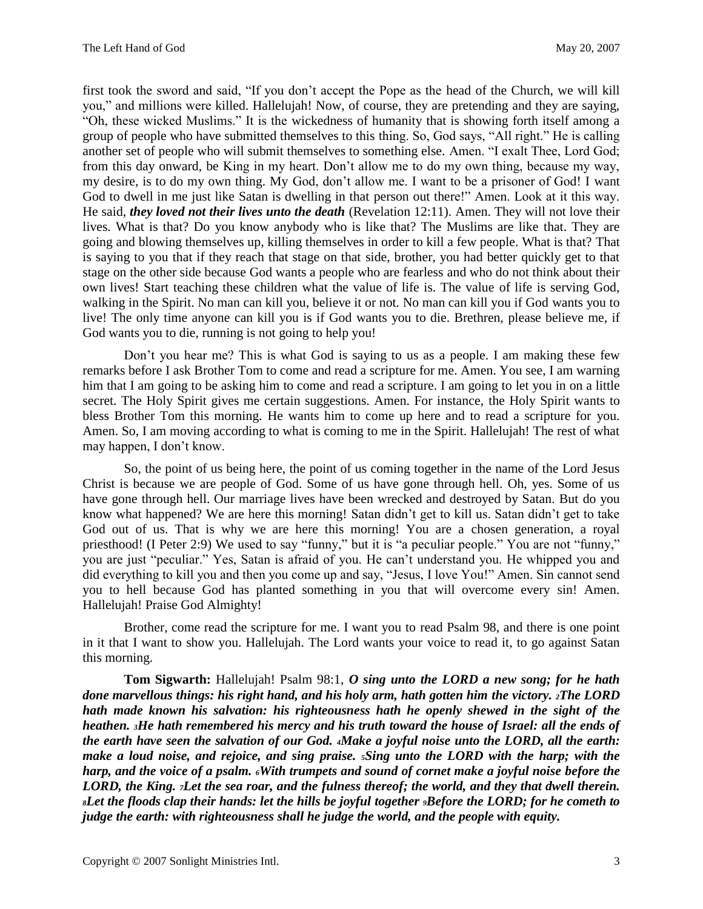first took the sword and said, "If you don't accept the Pope as the head of the Church, we will kill you," and millions were killed. Hallelujah! Now, of course, they are pretending and they are saying, "Oh, these wicked Muslims." It is the wickedness of humanity that is showing forth itself among a group of people who have submitted themselves to this thing. So, God says, "All right." He is calling another set of people who will submit themselves to something else. Amen. "I exalt Thee, Lord God; from this day onward, be King in my heart. Don't allow me to do my own thing, because my way, my desire, is to do my own thing. My God, don't allow me. I want to be a prisoner of God! I want God to dwell in me just like Satan is dwelling in that person out there!" Amen. Look at it this way. He said, *they loved not their lives unto the death* (Revelation 12:11). Amen. They will not love their lives. What is that? Do you know anybody who is like that? The Muslims are like that. They are going and blowing themselves up, killing themselves in order to kill a few people. What is that? That is saying to you that if they reach that stage on that side, brother, you had better quickly get to that stage on the other side because God wants a people who are fearless and who do not think about their own lives! Start teaching these children what the value of life is. The value of life is serving God, walking in the Spirit. No man can kill you, believe it or not. No man can kill you if God wants you to live! The only time anyone can kill you is if God wants you to die. Brethren, please believe me, if God wants you to die, running is not going to help you!

Don't you hear me? This is what God is saying to us as a people. I am making these few remarks before I ask Brother Tom to come and read a scripture for me. Amen. You see, I am warning him that I am going to be asking him to come and read a scripture. I am going to let you in on a little secret. The Holy Spirit gives me certain suggestions. Amen. For instance, the Holy Spirit wants to bless Brother Tom this morning. He wants him to come up here and to read a scripture for you. Amen. So, I am moving according to what is coming to me in the Spirit. Hallelujah! The rest of what may happen, I don't know.

So, the point of us being here, the point of us coming together in the name of the Lord Jesus Christ is because we are people of God. Some of us have gone through hell. Oh, yes. Some of us have gone through hell. Our marriage lives have been wrecked and destroyed by Satan. But do you know what happened? We are here this morning! Satan didn't get to kill us. Satan didn't get to take God out of us. That is why we are here this morning! You are a chosen generation, a royal priesthood! (I Peter 2:9) We used to say "funny," but it is "a peculiar people." You are not "funny," you are just "peculiar." Yes, Satan is afraid of you. He can't understand you. He whipped you and did everything to kill you and then you come up and say, "Jesus, I love You!" Amen. Sin cannot send you to hell because God has planted something in you that will overcome every sin! Amen. Hallelujah! Praise God Almighty!

Brother, come read the scripture for me. I want you to read Psalm 98, and there is one point in it that I want to show you. Hallelujah. The Lord wants your voice to read it, to go against Satan this morning.

**Tom Sigwarth:** Hallelujah! Psalm 98:1, *O sing unto the LORD a new song; for he hath done marvellous things: his right hand, and his holy arm, hath gotten him the victory. 2The LORD hath made known his salvation: his righteousness hath he openly shewed in the sight of the heathen. 3He hath remembered his mercy and his truth toward the house of Israel: all the ends of the earth have seen the salvation of our God. 4Make a joyful noise unto the LORD, all the earth: make a loud noise, and rejoice, and sing praise. 5Sing unto the LORD with the harp; with the harp, and the voice of a psalm. 6With trumpets and sound of cornet make a joyful noise before the LORD, the King. <sup>7</sup>Let the sea roar, and the fulness thereof; the world, and they that dwell therein. <sup>8</sup>Let the floods clap their hands: let the hills be joyful together 9Before the LORD; for he cometh to judge the earth: with righteousness shall he judge the world, and the people with equity.*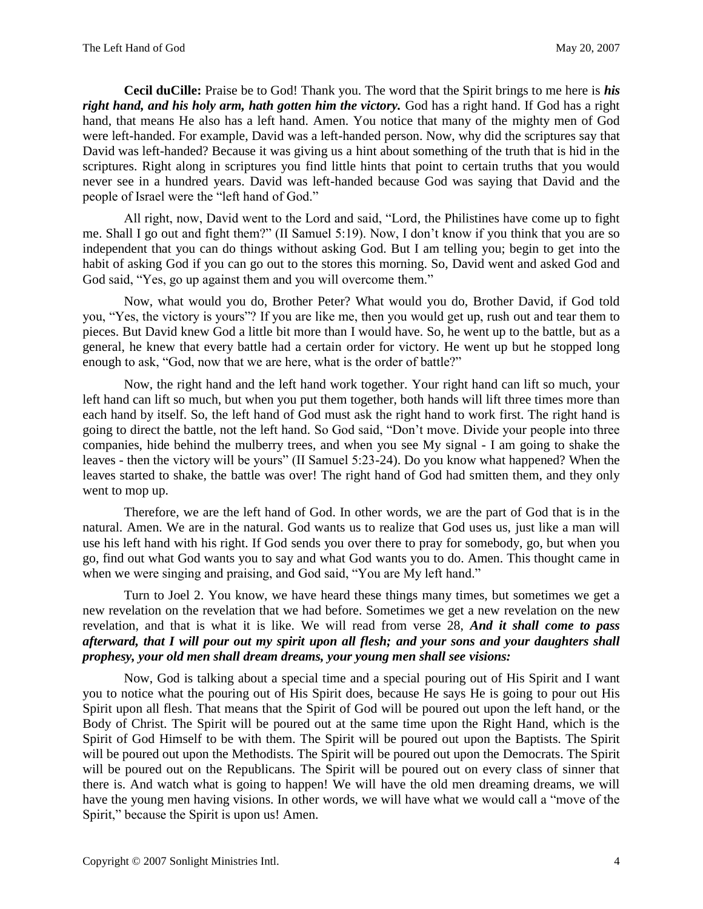**Cecil duCille:** Praise be to God! Thank you. The word that the Spirit brings to me here is *his right hand, and his holy arm, hath gotten him the victory.* God has a right hand. If God has a right hand, that means He also has a left hand. Amen. You notice that many of the mighty men of God were left-handed. For example, David was a left-handed person. Now, why did the scriptures say that David was left-handed? Because it was giving us a hint about something of the truth that is hid in the scriptures. Right along in scriptures you find little hints that point to certain truths that you would never see in a hundred years. David was left-handed because God was saying that David and the people of Israel were the "left hand of God."

All right, now, David went to the Lord and said, "Lord, the Philistines have come up to fight me. Shall I go out and fight them?" (II Samuel 5:19). Now, I don't know if you think that you are so independent that you can do things without asking God. But I am telling you; begin to get into the habit of asking God if you can go out to the stores this morning. So, David went and asked God and God said, "Yes, go up against them and you will overcome them."

Now, what would you do, Brother Peter? What would you do, Brother David, if God told you, "Yes, the victory is yours"? If you are like me, then you would get up, rush out and tear them to pieces. But David knew God a little bit more than I would have. So, he went up to the battle, but as a general, he knew that every battle had a certain order for victory. He went up but he stopped long enough to ask, "God, now that we are here, what is the order of battle?"

Now, the right hand and the left hand work together. Your right hand can lift so much, your left hand can lift so much, but when you put them together, both hands will lift three times more than each hand by itself. So, the left hand of God must ask the right hand to work first. The right hand is going to direct the battle, not the left hand. So God said, "Don't move. Divide your people into three companies, hide behind the mulberry trees, and when you see My signal - I am going to shake the leaves - then the victory will be yours" (II Samuel 5:23-24). Do you know what happened? When the leaves started to shake, the battle was over! The right hand of God had smitten them, and they only went to mop up.

Therefore, we are the left hand of God. In other words, we are the part of God that is in the natural. Amen. We are in the natural. God wants us to realize that God uses us, just like a man will use his left hand with his right. If God sends you over there to pray for somebody, go, but when you go, find out what God wants you to say and what God wants you to do. Amen. This thought came in when we were singing and praising, and God said, "You are My left hand."

Turn to Joel 2. You know, we have heard these things many times, but sometimes we get a new revelation on the revelation that we had before. Sometimes we get a new revelation on the new revelation, and that is what it is like. We will read from verse 28, *And it shall come to pass afterward, that I will pour out my spirit upon all flesh; and your sons and your daughters shall prophesy, your old men shall dream dreams, your young men shall see visions:*

Now, God is talking about a special time and a special pouring out of His Spirit and I want you to notice what the pouring out of His Spirit does, because He says He is going to pour out His Spirit upon all flesh. That means that the Spirit of God will be poured out upon the left hand, or the Body of Christ. The Spirit will be poured out at the same time upon the Right Hand, which is the Spirit of God Himself to be with them. The Spirit will be poured out upon the Baptists. The Spirit will be poured out upon the Methodists. The Spirit will be poured out upon the Democrats. The Spirit will be poured out on the Republicans. The Spirit will be poured out on every class of sinner that there is. And watch what is going to happen! We will have the old men dreaming dreams, we will have the young men having visions. In other words, we will have what we would call a "move of the Spirit," because the Spirit is upon us! Amen.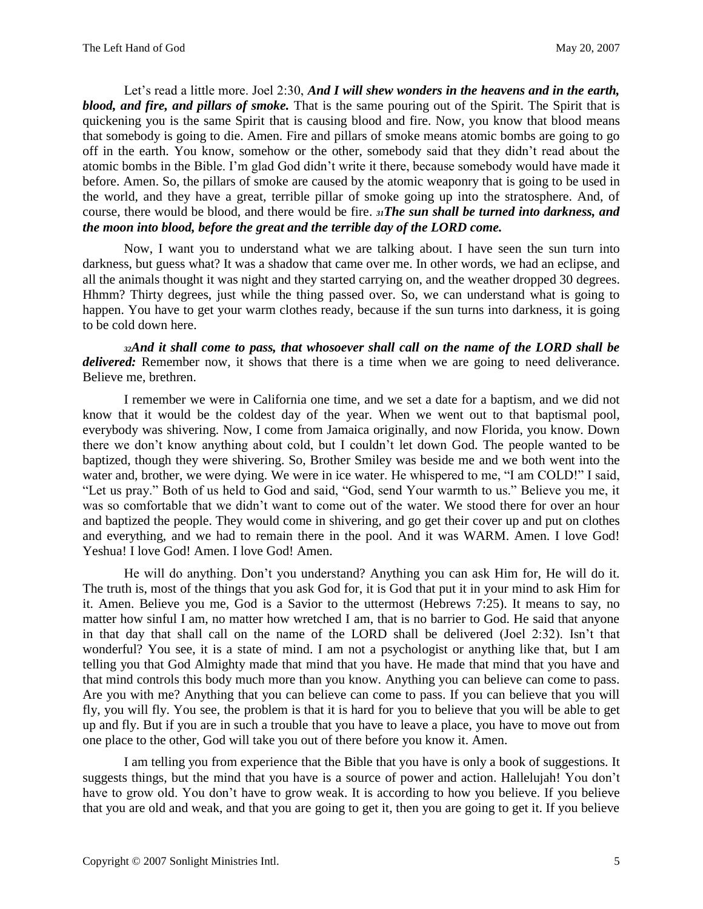Let's read a little more. Joel 2:30, *And I will shew wonders in the heavens and in the earth, blood, and fire, and pillars of smoke.* That is the same pouring out of the Spirit. The Spirit that is quickening you is the same Spirit that is causing blood and fire. Now, you know that blood means that somebody is going to die. Amen. Fire and pillars of smoke means atomic bombs are going to go off in the earth. You know, somehow or the other, somebody said that they didn't read about the atomic bombs in the Bible. I'm glad God didn't write it there, because somebody would have made it before. Amen. So, the pillars of smoke are caused by the atomic weaponry that is going to be used in the world, and they have a great, terrible pillar of smoke going up into the stratosphere. And, of course, there would be blood, and there would be fire. *31The sun shall be turned into darkness, and the moon into blood, before the great and the terrible day of the LORD come.*

Now, I want you to understand what we are talking about. I have seen the sun turn into darkness, but guess what? It was a shadow that came over me. In other words, we had an eclipse, and all the animals thought it was night and they started carrying on, and the weather dropped 30 degrees. Hhmm? Thirty degrees, just while the thing passed over. So, we can understand what is going to happen. You have to get your warm clothes ready, because if the sun turns into darkness, it is going to be cold down here.

*<sup>32</sup>And it shall come to pass, that whosoever shall call on the name of the LORD shall be delivered:* Remember now, it shows that there is a time when we are going to need deliverance. Believe me, brethren.

I remember we were in California one time, and we set a date for a baptism, and we did not know that it would be the coldest day of the year. When we went out to that baptismal pool, everybody was shivering. Now, I come from Jamaica originally, and now Florida, you know. Down there we don't know anything about cold, but I couldn't let down God. The people wanted to be baptized, though they were shivering. So, Brother Smiley was beside me and we both went into the water and, brother, we were dying. We were in ice water. He whispered to me, "I am COLD!" I said, "Let us pray." Both of us held to God and said, "God, send Your warmth to us." Believe you me, it was so comfortable that we didn't want to come out of the water. We stood there for over an hour and baptized the people. They would come in shivering, and go get their cover up and put on clothes and everything, and we had to remain there in the pool. And it was WARM. Amen. I love God! Yeshua! I love God! Amen. I love God! Amen.

He will do anything. Don't you understand? Anything you can ask Him for, He will do it. The truth is, most of the things that you ask God for, it is God that put it in your mind to ask Him for it. Amen. Believe you me, God is a Savior to the uttermost (Hebrews 7:25). It means to say, no matter how sinful I am, no matter how wretched I am, that is no barrier to God. He said that anyone in that day that shall call on the name of the LORD shall be delivered (Joel 2:32). Isn't that wonderful? You see, it is a state of mind. I am not a psychologist or anything like that, but I am telling you that God Almighty made that mind that you have. He made that mind that you have and that mind controls this body much more than you know. Anything you can believe can come to pass. Are you with me? Anything that you can believe can come to pass. If you can believe that you will fly, you will fly. You see, the problem is that it is hard for you to believe that you will be able to get up and fly. But if you are in such a trouble that you have to leave a place, you have to move out from one place to the other, God will take you out of there before you know it. Amen.

I am telling you from experience that the Bible that you have is only a book of suggestions. It suggests things, but the mind that you have is a source of power and action. Hallelujah! You don't have to grow old. You don't have to grow weak. It is according to how you believe. If you believe that you are old and weak, and that you are going to get it, then you are going to get it. If you believe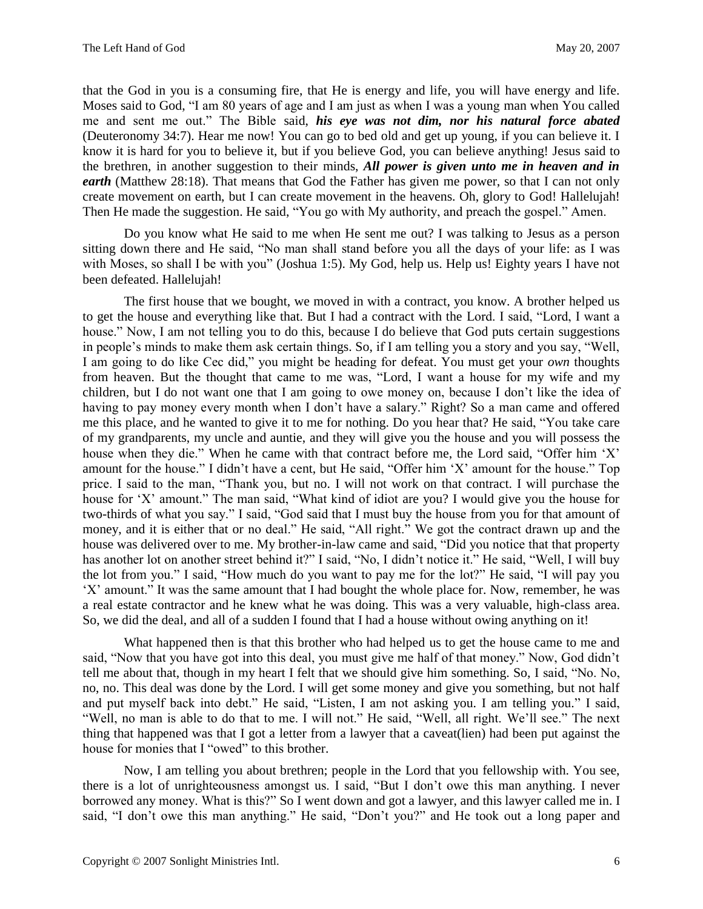that the God in you is a consuming fire, that He is energy and life, you will have energy and life. Moses said to God, "I am 80 years of age and I am just as when I was a young man when You called me and sent me out." The Bible said, *his eye was not dim, nor his natural force abated* (Deuteronomy 34:7). Hear me now! You can go to bed old and get up young, if you can believe it. I know it is hard for you to believe it, but if you believe God, you can believe anything! Jesus said to the brethren, in another suggestion to their minds, *All power is given unto me in heaven and in earth* (Matthew 28:18). That means that God the Father has given me power, so that I can not only create movement on earth, but I can create movement in the heavens. Oh, glory to God! Hallelujah! Then He made the suggestion. He said, "You go with My authority, and preach the gospel." Amen.

Do you know what He said to me when He sent me out? I was talking to Jesus as a person sitting down there and He said, "No man shall stand before you all the days of your life: as I was with Moses, so shall I be with you" (Joshua 1:5). My God, help us. Help us! Eighty years I have not been defeated. Hallelujah!

The first house that we bought, we moved in with a contract, you know. A brother helped us to get the house and everything like that. But I had a contract with the Lord. I said, "Lord, I want a house." Now, I am not telling you to do this, because I do believe that God puts certain suggestions in people's minds to make them ask certain things. So, if I am telling you a story and you say, "Well, I am going to do like Cec did," you might be heading for defeat. You must get your *own* thoughts from heaven. But the thought that came to me was, "Lord, I want a house for my wife and my children, but I do not want one that I am going to owe money on, because I don't like the idea of having to pay money every month when I don't have a salary." Right? So a man came and offered me this place, and he wanted to give it to me for nothing. Do you hear that? He said, "You take care of my grandparents, my uncle and auntie, and they will give you the house and you will possess the house when they die." When he came with that contract before me, the Lord said, "Offer him 'X' amount for the house." I didn't have a cent, but He said, "Offer him 'X' amount for the house." Top price. I said to the man, "Thank you, but no. I will not work on that contract. I will purchase the house for 'X' amount." The man said, "What kind of idiot are you? I would give you the house for two-thirds of what you say." I said, "God said that I must buy the house from you for that amount of money, and it is either that or no deal." He said, "All right." We got the contract drawn up and the house was delivered over to me. My brother-in-law came and said, "Did you notice that that property has another lot on another street behind it?" I said, "No, I didn't notice it." He said, "Well, I will buy the lot from you." I said, "How much do you want to pay me for the lot?" He said, "I will pay you 'X' amount." It was the same amount that I had bought the whole place for. Now, remember, he was a real estate contractor and he knew what he was doing. This was a very valuable, high-class area. So, we did the deal, and all of a sudden I found that I had a house without owing anything on it!

What happened then is that this brother who had helped us to get the house came to me and said, "Now that you have got into this deal, you must give me half of that money." Now, God didn't tell me about that, though in my heart I felt that we should give him something. So, I said, "No. No, no, no. This deal was done by the Lord. I will get some money and give you something, but not half and put myself back into debt." He said, "Listen, I am not asking you. I am telling you." I said, "Well, no man is able to do that to me. I will not." He said, "Well, all right. We'll see." The next thing that happened was that I got a letter from a lawyer that a caveat(lien) had been put against the house for monies that I "owed" to this brother.

Now, I am telling you about brethren; people in the Lord that you fellowship with. You see, there is a lot of unrighteousness amongst us. I said, "But I don't owe this man anything. I never borrowed any money. What is this?" So I went down and got a lawyer, and this lawyer called me in. I said, "I don't owe this man anything." He said, "Don't you?" and He took out a long paper and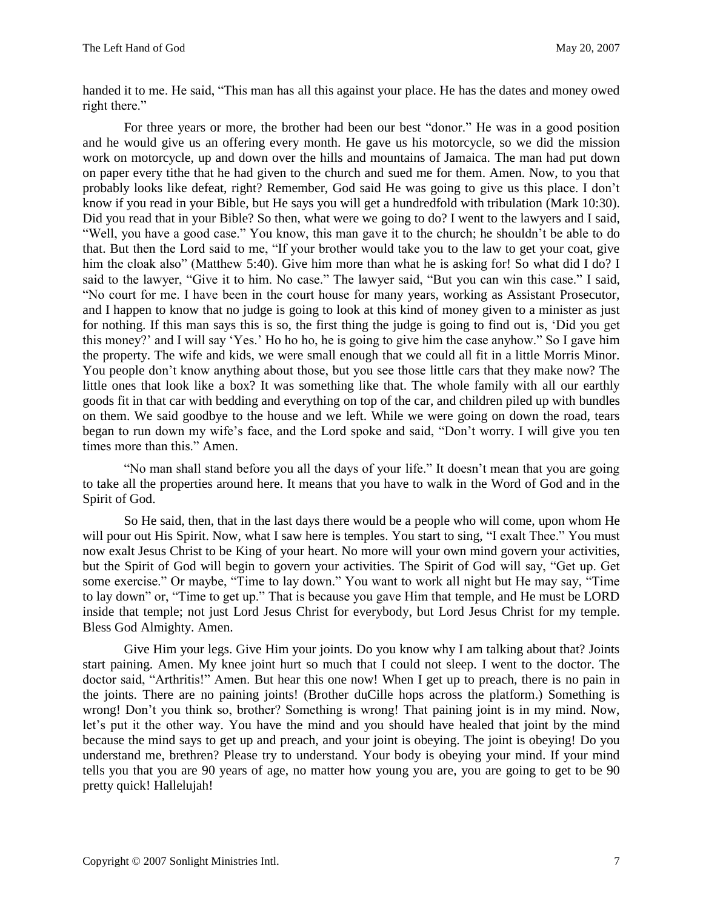handed it to me. He said, "This man has all this against your place. He has the dates and money owed right there."

For three years or more, the brother had been our best "donor." He was in a good position and he would give us an offering every month. He gave us his motorcycle, so we did the mission work on motorcycle, up and down over the hills and mountains of Jamaica. The man had put down on paper every tithe that he had given to the church and sued me for them. Amen. Now, to you that probably looks like defeat, right? Remember, God said He was going to give us this place. I don't know if you read in your Bible, but He says you will get a hundredfold with tribulation (Mark 10:30). Did you read that in your Bible? So then, what were we going to do? I went to the lawyers and I said, "Well, you have a good case." You know, this man gave it to the church; he shouldn't be able to do that. But then the Lord said to me, "If your brother would take you to the law to get your coat, give him the cloak also" (Matthew 5:40). Give him more than what he is asking for! So what did I do? I said to the lawyer, "Give it to him. No case." The lawyer said, "But you can win this case." I said, "No court for me. I have been in the court house for many years, working as Assistant Prosecutor, and I happen to know that no judge is going to look at this kind of money given to a minister as just for nothing. If this man says this is so, the first thing the judge is going to find out is, 'Did you get this money?' and I will say 'Yes.' Ho ho ho, he is going to give him the case anyhow." So I gave him the property. The wife and kids, we were small enough that we could all fit in a little Morris Minor. You people don't know anything about those, but you see those little cars that they make now? The little ones that look like a box? It was something like that. The whole family with all our earthly goods fit in that car with bedding and everything on top of the car, and children piled up with bundles on them. We said goodbye to the house and we left. While we were going on down the road, tears began to run down my wife's face, and the Lord spoke and said, "Don't worry. I will give you ten times more than this." Amen.

"No man shall stand before you all the days of your life." It doesn't mean that you are going to take all the properties around here. It means that you have to walk in the Word of God and in the Spirit of God.

So He said, then, that in the last days there would be a people who will come, upon whom He will pour out His Spirit. Now, what I saw here is temples. You start to sing, "I exalt Thee." You must now exalt Jesus Christ to be King of your heart. No more will your own mind govern your activities, but the Spirit of God will begin to govern your activities. The Spirit of God will say, "Get up. Get some exercise." Or maybe, "Time to lay down." You want to work all night but He may say, "Time to lay down" or, "Time to get up." That is because you gave Him that temple, and He must be LORD inside that temple; not just Lord Jesus Christ for everybody, but Lord Jesus Christ for my temple. Bless God Almighty. Amen.

Give Him your legs. Give Him your joints. Do you know why I am talking about that? Joints start paining. Amen. My knee joint hurt so much that I could not sleep. I went to the doctor. The doctor said, "Arthritis!" Amen. But hear this one now! When I get up to preach, there is no pain in the joints. There are no paining joints! (Brother duCille hops across the platform.) Something is wrong! Don't you think so, brother? Something is wrong! That paining joint is in my mind. Now, let's put it the other way. You have the mind and you should have healed that joint by the mind because the mind says to get up and preach, and your joint is obeying. The joint is obeying! Do you understand me, brethren? Please try to understand. Your body is obeying your mind. If your mind tells you that you are 90 years of age, no matter how young you are, you are going to get to be 90 pretty quick! Hallelujah!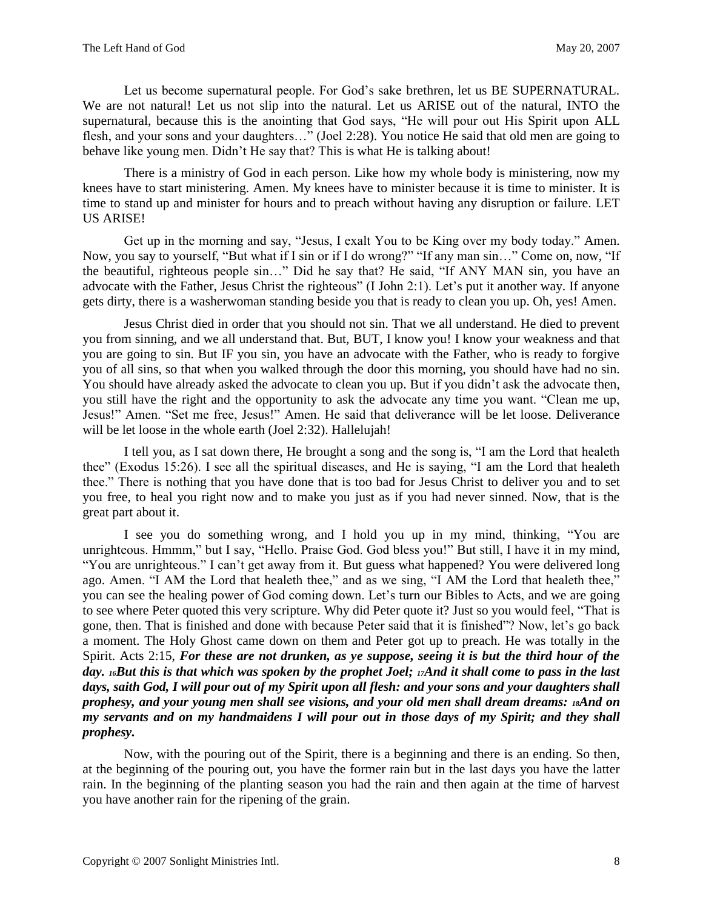Let us become supernatural people. For God's sake brethren, let us BE SUPERNATURAL. We are not natural! Let us not slip into the natural. Let us ARISE out of the natural, INTO the supernatural, because this is the anointing that God says, "He will pour out His Spirit upon ALL flesh, and your sons and your daughters…" (Joel 2:28). You notice He said that old men are going to behave like young men. Didn't He say that? This is what He is talking about!

There is a ministry of God in each person. Like how my whole body is ministering, now my knees have to start ministering. Amen. My knees have to minister because it is time to minister. It is time to stand up and minister for hours and to preach without having any disruption or failure. LET US ARISE!

Get up in the morning and say, "Jesus, I exalt You to be King over my body today." Amen. Now, you say to yourself, "But what if I sin or if I do wrong?" "If any man sin…" Come on, now, "If the beautiful, righteous people sin…" Did he say that? He said, "If ANY MAN sin, you have an advocate with the Father, Jesus Christ the righteous" (I John 2:1). Let's put it another way. If anyone gets dirty, there is a washerwoman standing beside you that is ready to clean you up. Oh, yes! Amen.

Jesus Christ died in order that you should not sin. That we all understand. He died to prevent you from sinning, and we all understand that. But, BUT, I know you! I know your weakness and that you are going to sin. But IF you sin, you have an advocate with the Father, who is ready to forgive you of all sins, so that when you walked through the door this morning, you should have had no sin. You should have already asked the advocate to clean you up. But if you didn't ask the advocate then, you still have the right and the opportunity to ask the advocate any time you want. "Clean me up, Jesus!" Amen. "Set me free, Jesus!" Amen. He said that deliverance will be let loose. Deliverance will be let loose in the whole earth (Joel 2:32). Hallelujah!

I tell you, as I sat down there, He brought a song and the song is, "I am the Lord that healeth thee" (Exodus 15:26). I see all the spiritual diseases, and He is saying, "I am the Lord that healeth thee." There is nothing that you have done that is too bad for Jesus Christ to deliver you and to set you free, to heal you right now and to make you just as if you had never sinned. Now, that is the great part about it.

I see you do something wrong, and I hold you up in my mind, thinking, "You are unrighteous. Hmmm," but I say, "Hello. Praise God. God bless you!" But still, I have it in my mind, "You are unrighteous." I can't get away from it. But guess what happened? You were delivered long ago. Amen. "I AM the Lord that healeth thee," and as we sing, "I AM the Lord that healeth thee," you can see the healing power of God coming down. Let's turn our Bibles to Acts, and we are going to see where Peter quoted this very scripture. Why did Peter quote it? Just so you would feel, "That is gone, then. That is finished and done with because Peter said that it is finished"? Now, let's go back a moment. The Holy Ghost came down on them and Peter got up to preach. He was totally in the Spirit. Acts 2:15, *For these are not drunken, as ye suppose, seeing it is but the third hour of the day. 16But this is that which was spoken by the prophet Joel; 17And it shall come to pass in the last days, saith God, I will pour out of my Spirit upon all flesh: and your sons and your daughters shall prophesy, and your young men shall see visions, and your old men shall dream dreams: <sup>18</sup>And on my servants and on my handmaidens I will pour out in those days of my Spirit; and they shall prophesy.* 

Now, with the pouring out of the Spirit, there is a beginning and there is an ending. So then, at the beginning of the pouring out, you have the former rain but in the last days you have the latter rain. In the beginning of the planting season you had the rain and then again at the time of harvest you have another rain for the ripening of the grain.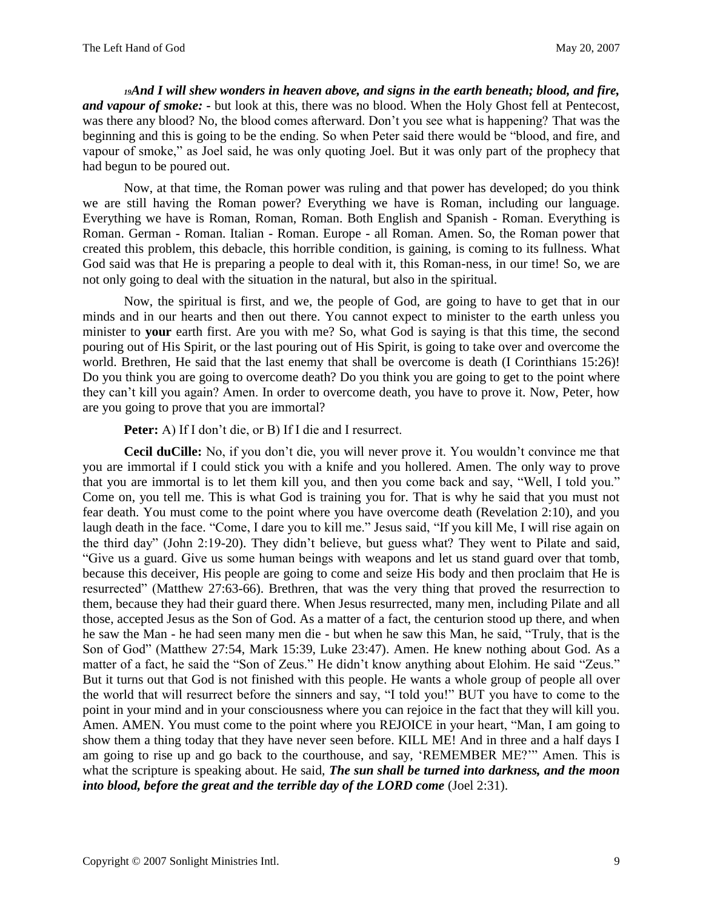*<sup>19</sup>And I will shew wonders in heaven above, and signs in the earth beneath; blood, and fire, and vapour of smoke: -* but look at this, there was no blood. When the Holy Ghost fell at Pentecost, was there any blood? No, the blood comes afterward. Don't you see what is happening? That was the beginning and this is going to be the ending. So when Peter said there would be "blood, and fire, and vapour of smoke," as Joel said, he was only quoting Joel. But it was only part of the prophecy that had begun to be poured out.

Now, at that time, the Roman power was ruling and that power has developed; do you think we are still having the Roman power? Everything we have is Roman, including our language. Everything we have is Roman, Roman, Roman. Both English and Spanish - Roman. Everything is Roman. German - Roman. Italian - Roman. Europe - all Roman. Amen. So, the Roman power that created this problem, this debacle, this horrible condition, is gaining, is coming to its fullness. What God said was that He is preparing a people to deal with it, this Roman-ness, in our time! So, we are not only going to deal with the situation in the natural, but also in the spiritual.

Now, the spiritual is first, and we, the people of God, are going to have to get that in our minds and in our hearts and then out there. You cannot expect to minister to the earth unless you minister to **your** earth first. Are you with me? So, what God is saying is that this time, the second pouring out of His Spirit, or the last pouring out of His Spirit, is going to take over and overcome the world. Brethren, He said that the last enemy that shall be overcome is death (I Corinthians 15:26)! Do you think you are going to overcome death? Do you think you are going to get to the point where they can't kill you again? Amen. In order to overcome death, you have to prove it. Now, Peter, how are you going to prove that you are immortal?

**Peter:** A) If I don't die, or B) If I die and I resurrect.

**Cecil duCille:** No, if you don't die, you will never prove it. You wouldn't convince me that you are immortal if I could stick you with a knife and you hollered. Amen. The only way to prove that you are immortal is to let them kill you, and then you come back and say, "Well, I told you." Come on, you tell me. This is what God is training you for. That is why he said that you must not fear death. You must come to the point where you have overcome death (Revelation 2:10), and you laugh death in the face. "Come, I dare you to kill me." Jesus said, "If you kill Me, I will rise again on the third day" (John 2:19-20). They didn't believe, but guess what? They went to Pilate and said, "Give us a guard. Give us some human beings with weapons and let us stand guard over that tomb, because this deceiver, His people are going to come and seize His body and then proclaim that He is resurrected" (Matthew 27:63-66). Brethren, that was the very thing that proved the resurrection to them, because they had their guard there. When Jesus resurrected, many men, including Pilate and all those, accepted Jesus as the Son of God. As a matter of a fact, the centurion stood up there, and when he saw the Man - he had seen many men die - but when he saw this Man, he said, "Truly, that is the Son of God" (Matthew 27:54, Mark 15:39, Luke 23:47). Amen. He knew nothing about God. As a matter of a fact, he said the "Son of Zeus." He didn't know anything about Elohim. He said "Zeus." But it turns out that God is not finished with this people. He wants a whole group of people all over the world that will resurrect before the sinners and say, "I told you!" BUT you have to come to the point in your mind and in your consciousness where you can rejoice in the fact that they will kill you. Amen. AMEN. You must come to the point where you REJOICE in your heart, "Man, I am going to show them a thing today that they have never seen before. KILL ME! And in three and a half days I am going to rise up and go back to the courthouse, and say, 'REMEMBER ME?'" Amen. This is what the scripture is speaking about. He said, *The sun shall be turned into darkness, and the moon into blood, before the great and the terrible day of the LORD come* (Joel 2:31).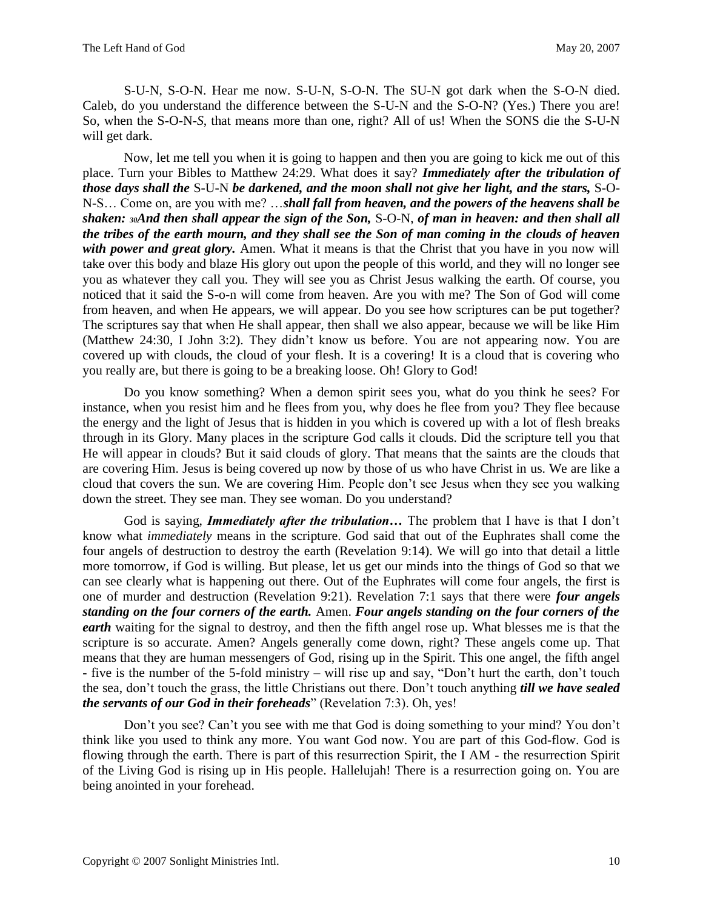S-U-N, S-O-N. Hear me now. S-U-N, S-O-N. The SU-N got dark when the S-O-N died. Caleb, do you understand the difference between the S-U-N and the S-O-N? (Yes.) There you are! So, when the S-O-N-*S*, that means more than one, right? All of us! When the SONS die the S-U-N will get dark.

Now, let me tell you when it is going to happen and then you are going to kick me out of this place. Turn your Bibles to Matthew 24:29. What does it say? *Immediately after the tribulation of those days shall the* S-U-N *be darkened, and the moon shall not give her light, and the stars,* S-O-N-S… Come on, are you with me? …*shall fall from heaven, and the powers of the heavens shall be shaken: <sup>30</sup>And then shall appear the sign of the Son,* S-O-N, *of man in heaven: and then shall all the tribes of the earth mourn, and they shall see the Son of man coming in the clouds of heaven*  with power and great glory. Amen. What it means is that the Christ that you have in you now will take over this body and blaze His glory out upon the people of this world, and they will no longer see you as whatever they call you. They will see you as Christ Jesus walking the earth. Of course, you noticed that it said the S-o-n will come from heaven. Are you with me? The Son of God will come from heaven, and when He appears, we will appear. Do you see how scriptures can be put together? The scriptures say that when He shall appear, then shall we also appear, because we will be like Him (Matthew 24:30, I John 3:2). They didn't know us before. You are not appearing now. You are covered up with clouds, the cloud of your flesh. It is a covering! It is a cloud that is covering who you really are, but there is going to be a breaking loose. Oh! Glory to God!

Do you know something? When a demon spirit sees you, what do you think he sees? For instance, when you resist him and he flees from you, why does he flee from you? They flee because the energy and the light of Jesus that is hidden in you which is covered up with a lot of flesh breaks through in its Glory. Many places in the scripture God calls it clouds. Did the scripture tell you that He will appear in clouds? But it said clouds of glory. That means that the saints are the clouds that are covering Him. Jesus is being covered up now by those of us who have Christ in us. We are like a cloud that covers the sun. We are covering Him. People don't see Jesus when they see you walking down the street. They see man. They see woman. Do you understand?

God is saying, *Immediately after the tribulation…* The problem that I have is that I don't know what *immediately* means in the scripture. God said that out of the Euphrates shall come the four angels of destruction to destroy the earth (Revelation 9:14). We will go into that detail a little more tomorrow, if God is willing. But please, let us get our minds into the things of God so that we can see clearly what is happening out there. Out of the Euphrates will come four angels, the first is one of murder and destruction (Revelation 9:21). Revelation 7:1 says that there were *four angels standing on the four corners of the earth.* Amen. *Four angels standing on the four corners of the earth* waiting for the signal to destroy, and then the fifth angel rose up. What blesses me is that the scripture is so accurate. Amen? Angels generally come down, right? These angels come up. That means that they are human messengers of God, rising up in the Spirit. This one angel, the fifth angel - five is the number of the 5-fold ministry – will rise up and say, "Don't hurt the earth, don't touch the sea, don't touch the grass, the little Christians out there. Don't touch anything *till we have sealed the servants of our God in their foreheads*" (Revelation 7:3). Oh, yes!

Don't you see? Can't you see with me that God is doing something to your mind? You don't think like you used to think any more. You want God now. You are part of this God-flow. God is flowing through the earth. There is part of this resurrection Spirit, the I AM - the resurrection Spirit of the Living God is rising up in His people. Hallelujah! There is a resurrection going on. You are being anointed in your forehead.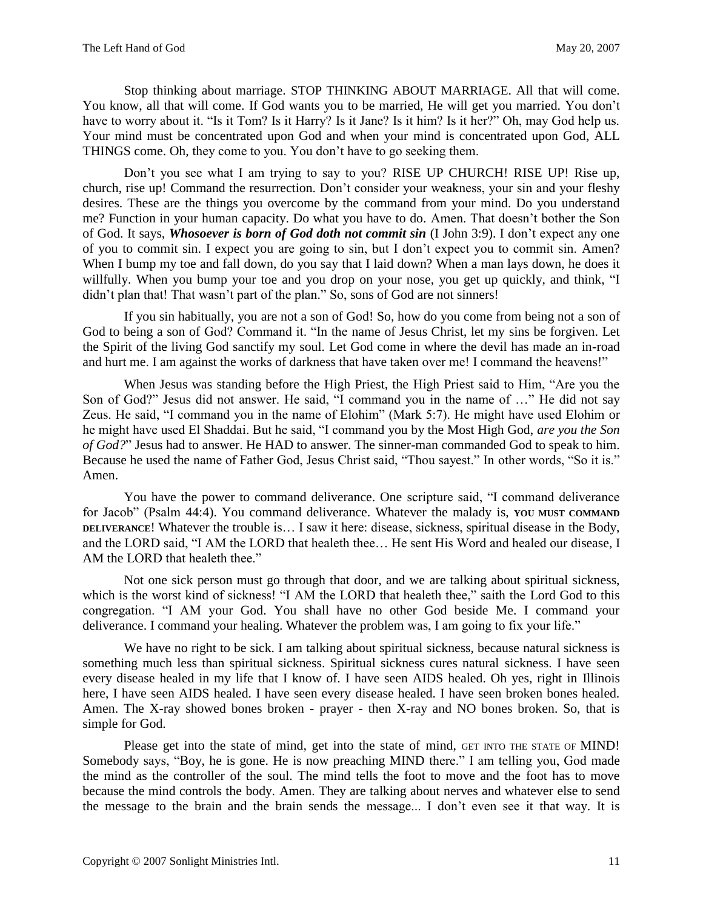Stop thinking about marriage. STOP THINKING ABOUT MARRIAGE. All that will come. You know, all that will come. If God wants you to be married, He will get you married. You don't have to worry about it. "Is it Tom? Is it Harry? Is it Jane? Is it him? Is it her?" Oh, may God help us. Your mind must be concentrated upon God and when your mind is concentrated upon God, ALL THINGS come. Oh, they come to you. You don't have to go seeking them.

Don't you see what I am trying to say to you? RISE UP CHURCH! RISE UP! Rise up, church, rise up! Command the resurrection. Don't consider your weakness, your sin and your fleshy desires. These are the things you overcome by the command from your mind. Do you understand me? Function in your human capacity. Do what you have to do. Amen. That doesn't bother the Son of God. It says, *Whosoever is born of God doth not commit sin* (I John 3:9). I don't expect any one of you to commit sin. I expect you are going to sin, but I don't expect you to commit sin. Amen? When I bump my toe and fall down, do you say that I laid down? When a man lays down, he does it willfully. When you bump your toe and you drop on your nose, you get up quickly, and think, "I didn't plan that! That wasn't part of the plan." So, sons of God are not sinners!

If you sin habitually, you are not a son of God! So, how do you come from being not a son of God to being a son of God? Command it. "In the name of Jesus Christ, let my sins be forgiven. Let the Spirit of the living God sanctify my soul. Let God come in where the devil has made an in-road and hurt me. I am against the works of darkness that have taken over me! I command the heavens!"

When Jesus was standing before the High Priest, the High Priest said to Him, "Are you the Son of God?" Jesus did not answer. He said, "I command you in the name of …" He did not say Zeus. He said, "I command you in the name of Elohim" (Mark 5:7). He might have used Elohim or he might have used El Shaddai. But he said, "I command you by the Most High God, *are you the Son of God?*" Jesus had to answer. He HAD to answer. The sinner-man commanded God to speak to him. Because he used the name of Father God, Jesus Christ said, "Thou sayest." In other words, "So it is." Amen.

You have the power to command deliverance. One scripture said, "I command deliverance for Jacob" (Psalm 44:4). You command deliverance. Whatever the malady is, **YOU MUST COMMAND DELIVERANCE**! Whatever the trouble is… I saw it here: disease, sickness, spiritual disease in the Body, and the LORD said, "I AM the LORD that healeth thee… He sent His Word and healed our disease, I AM the LORD that healeth thee."

Not one sick person must go through that door, and we are talking about spiritual sickness, which is the worst kind of sickness! "I AM the LORD that healeth thee," saith the Lord God to this congregation. "I AM your God. You shall have no other God beside Me. I command your deliverance. I command your healing. Whatever the problem was, I am going to fix your life."

We have no right to be sick. I am talking about spiritual sickness, because natural sickness is something much less than spiritual sickness. Spiritual sickness cures natural sickness. I have seen every disease healed in my life that I know of. I have seen AIDS healed. Oh yes, right in Illinois here, I have seen AIDS healed. I have seen every disease healed. I have seen broken bones healed. Amen. The X-ray showed bones broken - prayer - then X-ray and NO bones broken. So, that is simple for God.

Please get into the state of mind, get into the state of mind, GET INTO THE STATE OF MIND! Somebody says, "Boy, he is gone. He is now preaching MIND there." I am telling you, God made the mind as the controller of the soul. The mind tells the foot to move and the foot has to move because the mind controls the body. Amen. They are talking about nerves and whatever else to send the message to the brain and the brain sends the message... I don't even see it that way. It is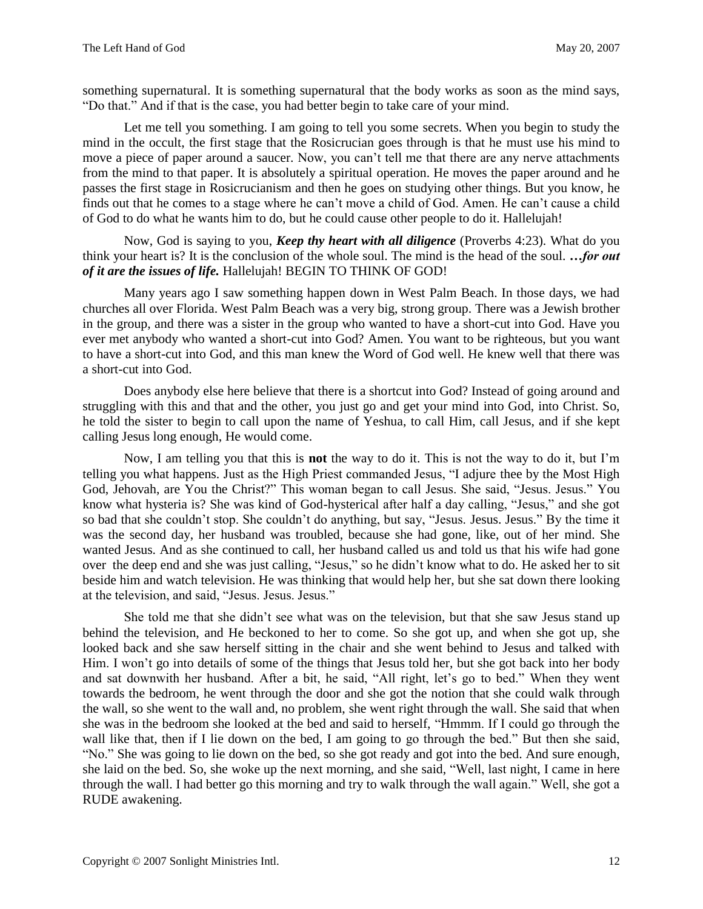something supernatural. It is something supernatural that the body works as soon as the mind says, "Do that." And if that is the case, you had better begin to take care of your mind.

Let me tell you something. I am going to tell you some secrets. When you begin to study the mind in the occult, the first stage that the Rosicrucian goes through is that he must use his mind to move a piece of paper around a saucer. Now, you can't tell me that there are any nerve attachments from the mind to that paper. It is absolutely a spiritual operation. He moves the paper around and he passes the first stage in Rosicrucianism and then he goes on studying other things. But you know, he finds out that he comes to a stage where he can't move a child of God. Amen. He can't cause a child of God to do what he wants him to do, but he could cause other people to do it. Hallelujah!

Now, God is saying to you, *Keep thy heart with all diligence* (Proverbs 4:23). What do you think your heart is? It is the conclusion of the whole soul. The mind is the head of the soul. *…for out of it are the issues of life.* Hallelujah! BEGIN TO THINK OF GOD!

Many years ago I saw something happen down in West Palm Beach. In those days, we had churches all over Florida. West Palm Beach was a very big, strong group. There was a Jewish brother in the group, and there was a sister in the group who wanted to have a short-cut into God. Have you ever met anybody who wanted a short-cut into God? Amen. You want to be righteous, but you want to have a short-cut into God, and this man knew the Word of God well. He knew well that there was a short-cut into God.

Does anybody else here believe that there is a shortcut into God? Instead of going around and struggling with this and that and the other, you just go and get your mind into God, into Christ. So, he told the sister to begin to call upon the name of Yeshua, to call Him, call Jesus, and if she kept calling Jesus long enough, He would come.

Now, I am telling you that this is **not** the way to do it. This is not the way to do it, but I'm telling you what happens. Just as the High Priest commanded Jesus, "I adjure thee by the Most High God, Jehovah, are You the Christ?" This woman began to call Jesus. She said, "Jesus. Jesus." You know what hysteria is? She was kind of God-hysterical after half a day calling, "Jesus," and she got so bad that she couldn't stop. She couldn't do anything, but say, "Jesus. Jesus. Jesus." By the time it was the second day, her husband was troubled, because she had gone, like, out of her mind. She wanted Jesus. And as she continued to call, her husband called us and told us that his wife had gone over the deep end and she was just calling, "Jesus," so he didn't know what to do. He asked her to sit beside him and watch television. He was thinking that would help her, but she sat down there looking at the television, and said, "Jesus. Jesus. Jesus."

She told me that she didn't see what was on the television, but that she saw Jesus stand up behind the television, and He beckoned to her to come. So she got up, and when she got up, she looked back and she saw herself sitting in the chair and she went behind to Jesus and talked with Him. I won't go into details of some of the things that Jesus told her, but she got back into her body and sat downwith her husband. After a bit, he said, "All right, let's go to bed." When they went towards the bedroom, he went through the door and she got the notion that she could walk through the wall, so she went to the wall and, no problem, she went right through the wall. She said that when she was in the bedroom she looked at the bed and said to herself, "Hmmm. If I could go through the wall like that, then if I lie down on the bed, I am going to go through the bed." But then she said, "No." She was going to lie down on the bed, so she got ready and got into the bed. And sure enough, she laid on the bed. So, she woke up the next morning, and she said, "Well, last night, I came in here through the wall. I had better go this morning and try to walk through the wall again." Well, she got a RUDE awakening.